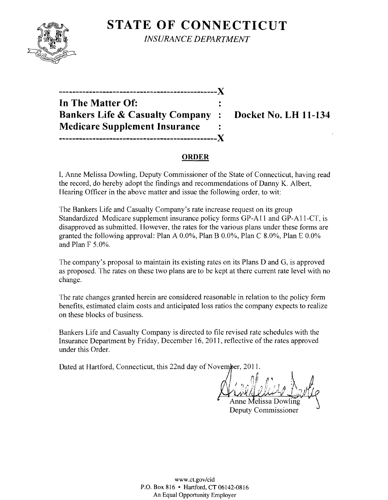

**STATE OF CONNECTICUT INSURANCE DEPARTMENT** 

 $\overline{\mathbf{x}}$ 

| ---------------------------------          |       |
|--------------------------------------------|-------|
| In The Matter Of:                          |       |
| <b>Bankers Life &amp; Casualty Company</b> |       |
| <b>Medicare Supplement Insurance</b>       |       |
| ----------<br>---------------              | . X . |

**Docket No. LH 11-134** 

## **ORDER**

I, Anne Melissa Dowling, Deputy Commissioner of the State of Connecticut, having read the record, do hereby adopt the findings and recommendations of Danny K. Albert, Hearing Officer in the above matter and issue the following order, to wit:

The Bankers Life and Casualty Company's rate increase request on its group Standardized Medicare supplement insurance policy forms GP-A11 and GP-A11-CT, is disapproved as submitted. However, the rates for the various plans under these forms are granted the following approval: Plan A  $0.0\%$ , Plan B  $0.0\%$ , Plan C  $8.0\%$ , Plan E  $0.0\%$ and Plan F 5.0%.

The company's proposal to maintain its existing rates on its Plans D and G, is approved as proposed. The rates on these two plans are to be kept at there current rate level with no change.

The rate changes granted herein are considered reasonable in relation to the policy form benefits, estimated claim costs and anticipated loss ratios the company expects to realize on these blocks of business.

Bankers Life and Casualty Company is directed to file revised rate schedules with the Insurance Department by Friday, December 16, 2011, reflective of the rates approved under this Order.

Dated at Hartford, Connecticut, this 22nd day of November, 2011.

Anne Melissa Dowling Deputy Commissioner

www.ct.gov/cid P.O. Box 816 • Hartford, CT 06142-0816 An Equal Opportunity Employer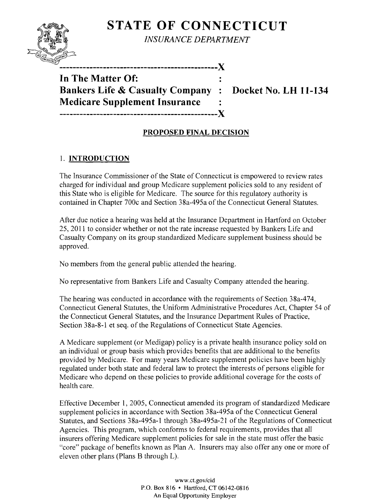# **STATE OF CONNECTICUT**



*INSURANCE DEPARTMENT* 

**-----------------------------------------------)(** 

**In The Matter Of: Bankers Life & Casualty Company : Docket No. LH 11-134 Medicare Supplement Insurance -----------------------------------------------)(** 

## **PROPOSED FINAL DECISION**

# 1. **INTRODUCTION**

The Insurance Commissioner of the State of Connecticut is empowered to review rates charged for individual and group Medicare supplement policies sold to any resident of this State who is eligible for Medicare. The source for this regulatory authority is contained in Chapter 700c and Section 38a-495a of the Connecticut General Statutes.

After due notice a hearing was held at the Insurance Department in Hartford on October 25, 2011 to consider whether or not the rate increase requested by Bankers Life and Casualty Company on its group standardized Medicare supplement business should be approved.

No members from the general public attended the hearing.

No representative from Bankers Life and Casualty Company attended the hearing.

The hearing was conducted in accordance with the requirements of Section 38a-474, Connecticut General Statutes, the Uniform Administrative Procedures Act, Chapter 54 of the Connecticut General Statutes, and the Insurance Department Rules of Practice, Section 38a-8-1 et seq. of the Regulations of Connecticut State Agencies.

A Medicare supplement (or Medigap) policy is a private health insurance policy sold on an individual or group basis which provides benefits that are additional to the benefits provided by Medicare. For many years Medicare supplement policies have been highly regulated under both state and federal law to protect the interests of persons eligible for Medicare who depend on these policies to provide additional coverage for the costs of health care.

Effective December 1,2005, Connecticut amended its program of standardized Medicare supplement policies in accordance with Section 38a-495a of the Connecticut General Statutes, and Sections 38a-495a-l through 38a-495a-21 of the Regulations of Connecticut Agencies. This program, which conforms to federal requirements, provides that all insurers offering Medicare supplement policies for sale in the state must offer the basic "core" package of benefits known as Plan A. Insurers may also offer anyone or more of eleven other plans (Plans B through L).

> www.ct.gov/cid P.O. Box 816 • Hartford, CT 06142-0816 An Equal Opportunity Employer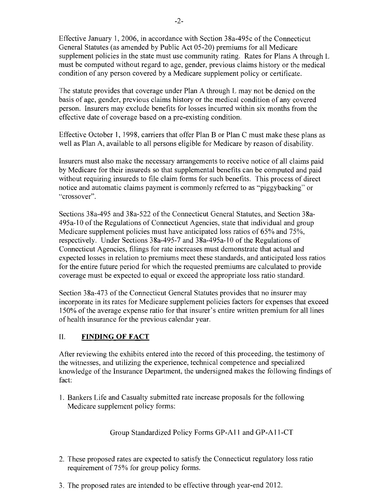Effective January 1,2006, in accordance with Section 38a-495c ofthe Connecticut General Statutes (as amended by Public Act 05-20) premiums for all Medicare supplement policies in the state must use community rating. Rates for Plans A through L must be computed without regard to age, gender, previous claims history or the medical condition of any person covered by a Medicare supplement policy or certificate.

The statute provides that coverage under Plan A through L may not be denied on the basis of age, gender, previous claims history or the medical condition of any covered person. Insurers may exclude benefits for losses incurred within six months from the effective date of coverage based on a pre-existing condition.

Effective October 1, 1998, carriers that offer Plan B or Plan C must make these plans as well as Plan A, available to all persons eligible for Medicare by reason of disability.

Insurers must also make the necessary arrangements to receive notice of all claims paid by Medicare for their insureds so that supplemental benefits can be computed and paid without requiring insureds to file claim forms for such benefits. This process of direct notice and automatic claims payment is commonly referred to as "piggybacking" or "crossover".

Sections 38a-495 and 38a-522 of the Connecticut General Statutes, and Section 38a-495a-10 ofthe Regulations of Connecticut Agencies, state that individual and group Medicare supplement policies must have anticipated loss ratios of 65% and 75%, respectively. Under Sections 38a-495-7 and 38a-495a-10 of the Regulations of Connecticut Agencies, filings for rate increases must demonstrate that actual and expected losses in relation to premiums meet these standards, and anticipated loss ratios for the entire future period for which the requested premiums are calculated to provide coverage must be expected to equal or exceed the appropriate loss ratio standard.

Section 38a-473 of the Connecticut General Statutes provides that no insurer may incorporate in its rates for Medicare supplement policies factors for expenses that exceed 150% of the average expense ratio for that insurer's entire written premium for all lines of health insurance for the previous calendar year.

## II. **FINDING OF FACT**

After reviewing the exhibits entered into the record of this proceeding, the testimony of the witnesses, and utilizing the experience, technical competence and specialized knowledge of the Insurance Department, the undersigned makes the following findings of fact:

1. Bankers Life and Casualty submitted rate increase proposals for the following Medicare supplement policy forms:

## Group Standardized Policy Forms GP-A11 and GP-A11-CT

- 2. These proposed rates are expected to satisfy the Connecticut regulatory loss ratio requirement of 75% for group policy forms.
- 3. The proposed rates are intended to be effective through year-end 2012.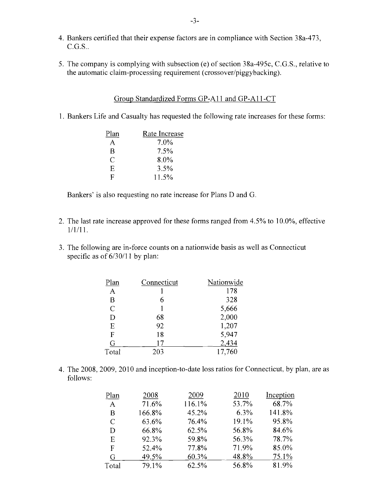- 4. Bankers certified that their expense factors are in compliance with Section 38a-473,  $C.G.S.$ .
- 5. The company is complying with subsection (e) of section 38a-495c, C.G.S., relative to the automatic claim-processing requirement (crossover/piggybacking).

#### Group Standardized Forms GP-All and GP-AII-CT

1. Bankers Life and Casualty has requested the following rate increases for these forms:

| Plan | Rate Increase |
|------|---------------|
| A    | 7.0%          |
| B    | 7.5%          |
| C    | 8.0%          |
| Ε    | 3.5%          |
| F    | 11.5%         |

Bankers' is also requesting no rate increase for Plans D and G.

- 2. The last rate increase approved for these forms ranged from 4.5% to 10.0%, effective 1/1/11.
- 3. The following are in-force counts on a nationwide basis as well as Connecticut specific as of  $6/30/11$  by plan:

| Plan           | Connecticut | Nationwide |
|----------------|-------------|------------|
| A              |             | 178        |
| B              |             | 328        |
| $\overline{C}$ |             | 5,666      |
| D              | 68          | 2,000      |
| E              | 92          | 1,207      |
| F              | 18          | 5,947      |
| G              | 17          | 2,434      |
| Total          | 203         | 17,760     |

4. The 2008, 2009, 2010 and inception-to-date loss ratios for Connecticut, by plan, are as follows:

| Plan  | 2008   | 2009   | 2010  | Inception |
|-------|--------|--------|-------|-----------|
| A     | 71.6%  | 116.1% | 53.7% | 68.7%     |
| B     | 166.8% | 45.2%  | 6.3%  | 141.8%    |
| C     | 63.6%  | 76.4%  | 19.1% | 95.8%     |
| D     | 66.8%  | 62.5%  | 56.8% | 84.6%     |
| Ε     | 92.3%  | 59.8%  | 56.3% | 78.7%     |
| F     | 52.4%  | 77.8%  | 71.9% | 85.0%     |
| G     | 49.5%  | 60.3%  | 48.8% | 75.1%     |
| Total | 79.1%  | 62.5%  | 56.8% | 81.9%     |